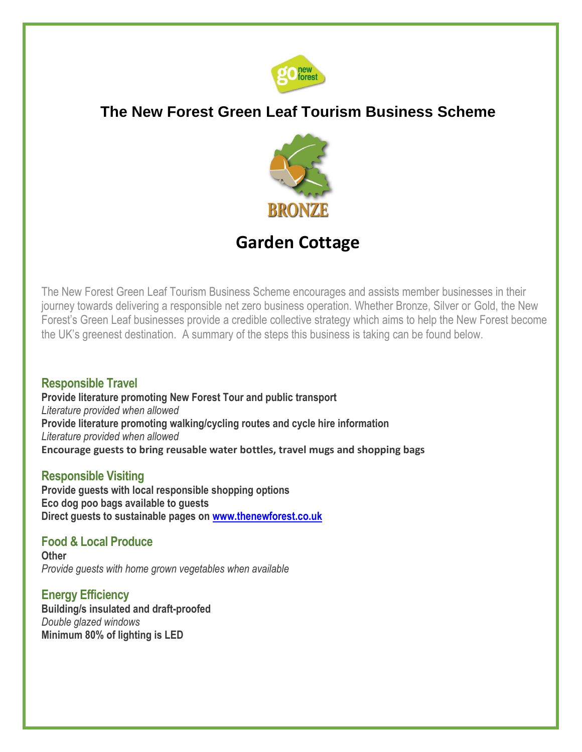

## **The New Forest Green Leaf Tourism Business Scheme**



# **Garden Cottage**

The New Forest Green Leaf Tourism Business Scheme encourages and assists member businesses in their journey towards delivering a responsible net zero business operation. Whether Bronze, Silver or Gold, the New Forest's Green Leaf businesses provide a credible collective strategy which aims to help the New Forest become the UK's greenest destination. A summary of the steps this business is taking can be found below.

#### **Responsible Travel**

**Provide literature promoting New Forest Tour and public transport**  *Literature provided when allowed* **Provide literature promoting walking/cycling routes and cycle hire information**  *Literature provided when allowed* **Encourage guests to bring reusable water bottles, travel mugs and shopping bags**

#### **Responsible Visiting**

**Provide guests with local responsible shopping options Eco dog poo bags available to guests Direct guests to sustainable pages on [www.thenewforest.co.uk](http://www.thenewforest.co.uk/)**

#### **Food & Local Produce**

**Other** *Provide guests with home grown vegetables when available*

**Energy Efficiency Building/s insulated and draft-proofed** *Double glazed windows* **Minimum 80% of lighting is LED**